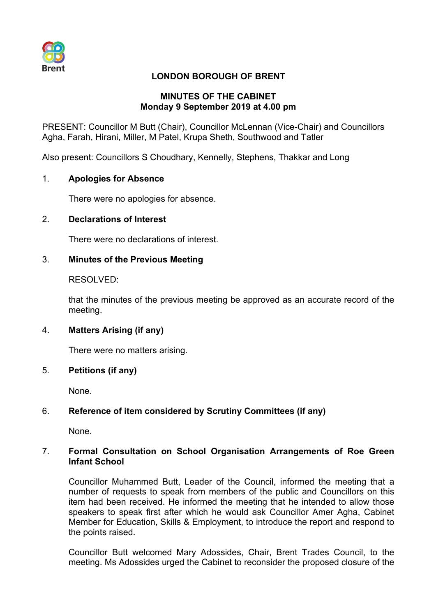

## **LONDON BOROUGH OF BRENT**

## **MINUTES OF THE CABINET Monday 9 September 2019 at 4.00 pm**

PRESENT: Councillor M Butt (Chair), Councillor McLennan (Vice-Chair) and Councillors Agha, Farah, Hirani, Miller, M Patel, Krupa Sheth, Southwood and Tatler

Also present: Councillors S Choudhary, Kennelly, Stephens, Thakkar and Long

## 1. **Apologies for Absence**

There were no apologies for absence.

### 2. **Declarations of Interest**

There were no declarations of interest.

### 3. **Minutes of the Previous Meeting**

#### RESOLVED:

that the minutes of the previous meeting be approved as an accurate record of the meeting.

### 4. **Matters Arising (if any)**

There were no matters arising.

### 5. **Petitions (if any)**

None.

### 6. **Reference of item considered by Scrutiny Committees (if any)**

None.

### 7. **Formal Consultation on School Organisation Arrangements of Roe Green Infant School**

Councillor Muhammed Butt, Leader of the Council, informed the meeting that a number of requests to speak from members of the public and Councillors on this item had been received. He informed the meeting that he intended to allow those speakers to speak first after which he would ask Councillor Amer Agha, Cabinet Member for Education, Skills & Employment, to introduce the report and respond to the points raised.

Councillor Butt welcomed Mary Adossides, Chair, Brent Trades Council, to the meeting. Ms Adossides urged the Cabinet to reconsider the proposed closure of the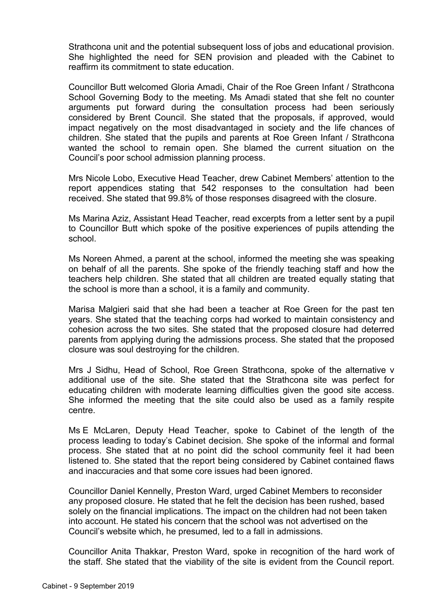Strathcona unit and the potential subsequent loss of jobs and educational provision. She highlighted the need for SEN provision and pleaded with the Cabinet to reaffirm its commitment to state education.

Councillor Butt welcomed Gloria Amadi, Chair of the Roe Green Infant / Strathcona School Governing Body to the meeting. Ms Amadi stated that she felt no counter arguments put forward during the consultation process had been seriously considered by Brent Council. She stated that the proposals, if approved, would impact negatively on the most disadvantaged in society and the life chances of children. She stated that the pupils and parents at Roe Green Infant / Strathcona wanted the school to remain open. She blamed the current situation on the Council's poor school admission planning process.

Mrs Nicole Lobo, Executive Head Teacher, drew Cabinet Members' attention to the report appendices stating that 542 responses to the consultation had been received. She stated that 99.8% of those responses disagreed with the closure.

Ms Marina Aziz, Assistant Head Teacher, read excerpts from a letter sent by a pupil to Councillor Butt which spoke of the positive experiences of pupils attending the school.

Ms Noreen Ahmed, a parent at the school, informed the meeting she was speaking on behalf of all the parents. She spoke of the friendly teaching staff and how the teachers help children. She stated that all children are treated equally stating that the school is more than a school, it is a family and community.

Marisa Malgieri said that she had been a teacher at Roe Green for the past ten years. She stated that the teaching corps had worked to maintain consistency and cohesion across the two sites. She stated that the proposed closure had deterred parents from applying during the admissions process. She stated that the proposed closure was soul destroying for the children.

Mrs J Sidhu, Head of School, Roe Green Strathcona, spoke of the alternative v additional use of the site. She stated that the Strathcona site was perfect for educating children with moderate learning difficulties given the good site access. She informed the meeting that the site could also be used as a family respite centre.

Ms E McLaren, Deputy Head Teacher, spoke to Cabinet of the length of the process leading to today's Cabinet decision. She spoke of the informal and formal process. She stated that at no point did the school community feel it had been listened to. She stated that the report being considered by Cabinet contained flaws and inaccuracies and that some core issues had been ignored.

Councillor Daniel Kennelly, Preston Ward, urged Cabinet Members to reconsider any proposed closure. He stated that he felt the decision has been rushed, based solely on the financial implications. The impact on the children had not been taken into account. He stated his concern that the school was not advertised on the Council's website which, he presumed, led to a fall in admissions.

Councillor Anita Thakkar, Preston Ward, spoke in recognition of the hard work of the staff. She stated that the viability of the site is evident from the Council report.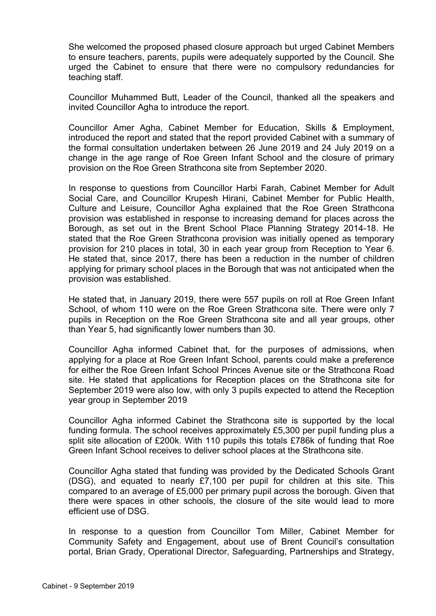She welcomed the proposed phased closure approach but urged Cabinet Members to ensure teachers, parents, pupils were adequately supported by the Council. She urged the Cabinet to ensure that there were no compulsory redundancies for teaching staff.

Councillor Muhammed Butt, Leader of the Council, thanked all the speakers and invited Councillor Agha to introduce the report.

Councillor Amer Agha, Cabinet Member for Education, Skills & Employment, introduced the report and stated that the report provided Cabinet with a summary of the formal consultation undertaken between 26 June 2019 and 24 July 2019 on a change in the age range of Roe Green Infant School and the closure of primary provision on the Roe Green Strathcona site from September 2020.

In response to questions from Councillor Harbi Farah, Cabinet Member for Adult Social Care, and Councillor Krupesh Hirani, Cabinet Member for Public Health, Culture and Leisure, Councillor Agha explained that the Roe Green Strathcona provision was established in response to increasing demand for places across the Borough, as set out in the Brent School Place Planning Strategy 2014-18. He stated that the Roe Green Strathcona provision was initially opened as temporary provision for 210 places in total, 30 in each year group from Reception to Year 6. He stated that, since 2017, there has been a reduction in the number of children applying for primary school places in the Borough that was not anticipated when the provision was established.

He stated that, in January 2019, there were 557 pupils on roll at Roe Green Infant School, of whom 110 were on the Roe Green Strathcona site. There were only 7 pupils in Reception on the Roe Green Strathcona site and all year groups, other than Year 5, had significantly lower numbers than 30.

Councillor Agha informed Cabinet that, for the purposes of admissions, when applying for a place at Roe Green Infant School, parents could make a preference for either the Roe Green Infant School Princes Avenue site or the Strathcona Road site. He stated that applications for Reception places on the Strathcona site for September 2019 were also low, with only 3 pupils expected to attend the Reception year group in September 2019

Councillor Agha informed Cabinet the Strathcona site is supported by the local funding formula. The school receives approximately £5,300 per pupil funding plus a split site allocation of £200k. With 110 pupils this totals £786k of funding that Roe Green Infant School receives to deliver school places at the Strathcona site.

Councillor Agha stated that funding was provided by the Dedicated Schools Grant (DSG), and equated to nearly £7,100 per pupil for children at this site. This compared to an average of £5,000 per primary pupil across the borough. Given that there were spaces in other schools, the closure of the site would lead to more efficient use of DSG.

In response to a question from Councillor Tom Miller, Cabinet Member for Community Safety and Engagement, about use of Brent Council's consultation portal, Brian Grady, Operational Director, Safeguarding, Partnerships and Strategy,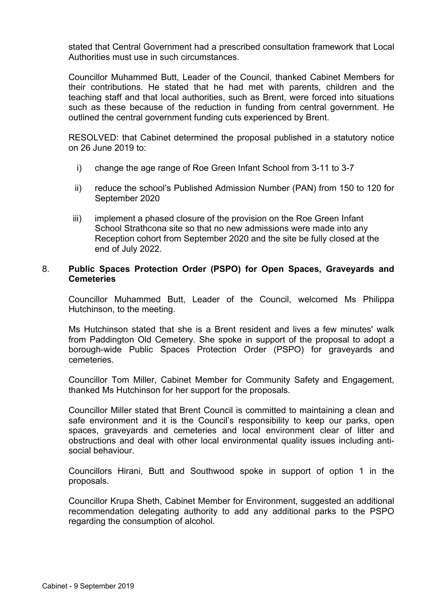stated that Central Government had a prescribed consultation framework that Local Authorities must use in such circumstances.

Councillor Muhammed Butt, Leader of the Council, thanked Cabinet Members for their contributions. He stated that he had met with parents, children and the teaching staff and that local authorities, such as Brent, were forced into situations such as these because of the reduction in funding from central government. He outlined the central government funding cuts experienced by Brent.

RESOLVED: that Cabinet determined the proposal published in a statutory notice on 26 June 2019 to:

- i) change the age range of Roe Green Infant School from 3-11 to 3-7
- ii) reduce the school's Published Admission Number (PAN) from 150 to 120 for September 2020
- iii) implement a phased closure of the provision on the Roe Green Infant School Strathcona site so that no new admissions were made into any Reception cohort from September 2020 and the site be fully closed at the end of July 2022.

### 8. **Public Spaces Protection Order (PSPO) for Open Spaces, Graveyards and Cemeteries**

Councillor Muhammed Butt, Leader of the Council, welcomed Ms Philippa Hutchinson, to the meeting.

Ms Hutchinson stated that she is a Brent resident and lives a few minutes' walk from Paddington Old Cemetery. She spoke in support of the proposal to adopt a borough-wide Public Spaces Protection Order (PSPO) for graveyards and cemeteries.

Councillor Tom Miller, Cabinet Member for Community Safety and Engagement, thanked Ms Hutchinson for her support for the proposals.

Councillor Miller stated that Brent Council is committed to maintaining a clean and safe environment and it is the Council's responsibility to keep our parks, open spaces, graveyards and cemeteries and local environment clear of litter and obstructions and deal with other local environmental quality issues including antisocial behaviour.

Councillors Hirani, Butt and Southwood spoke in support of option 1 in the proposals.

Councillor Krupa Sheth, Cabinet Member for Environment, suggested an additional recommendation delegating authority to add any additional parks to the PSPO regarding the consumption of alcohol.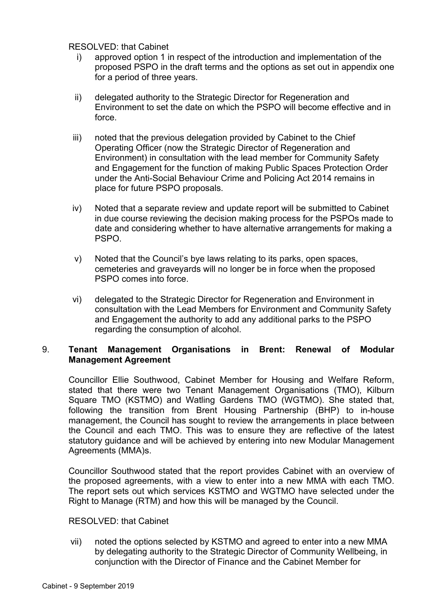RESOLVED: that Cabinet

- i) approved option 1 in respect of the introduction and implementation of the proposed PSPO in the draft terms and the options as set out in appendix one for a period of three years.
- ii) delegated authority to the Strategic Director for Regeneration and Environment to set the date on which the PSPO will become effective and in force.
- iii) noted that the previous delegation provided by Cabinet to the Chief Operating Officer (now the Strategic Director of Regeneration and Environment) in consultation with the lead member for Community Safety and Engagement for the function of making Public Spaces Protection Order under the Anti-Social Behaviour Crime and Policing Act 2014 remains in place for future PSPO proposals.
- iv) Noted that a separate review and update report will be submitted to Cabinet in due course reviewing the decision making process for the PSPOs made to date and considering whether to have alternative arrangements for making a PSPO.
- v) Noted that the Council's bye laws relating to its parks, open spaces, cemeteries and graveyards will no longer be in force when the proposed PSPO comes into force.
- vi) delegated to the Strategic Director for Regeneration and Environment in consultation with the Lead Members for Environment and Community Safety and Engagement the authority to add any additional parks to the PSPO regarding the consumption of alcohol.

# 9. **Tenant Management Organisations in Brent: Renewal of Modular Management Agreement**

Councillor Ellie Southwood, Cabinet Member for Housing and Welfare Reform, stated that there were two Tenant Management Organisations (TMO), Kilburn Square TMO (KSTMO) and Watling Gardens TMO (WGTMO). She stated that, following the transition from Brent Housing Partnership (BHP) to in-house management, the Council has sought to review the arrangements in place between the Council and each TMO. This was to ensure they are reflective of the latest statutory guidance and will be achieved by entering into new Modular Management Agreements (MMA)s.

Councillor Southwood stated that the report provides Cabinet with an overview of the proposed agreements, with a view to enter into a new MMA with each TMO. The report sets out which services KSTMO and WGTMO have selected under the Right to Manage (RTM) and how this will be managed by the Council.

### RESOLVED: that Cabinet

vii) noted the options selected by KSTMO and agreed to enter into a new MMA by delegating authority to the Strategic Director of Community Wellbeing, in conjunction with the Director of Finance and the Cabinet Member for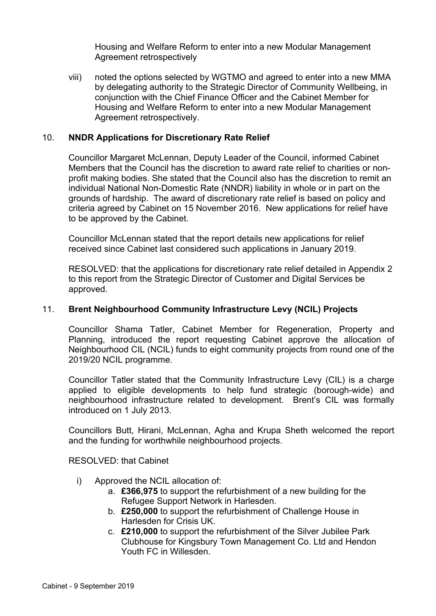Housing and Welfare Reform to enter into a new Modular Management Agreement retrospectively

viii) noted the options selected by WGTMO and agreed to enter into a new MMA by delegating authority to the Strategic Director of Community Wellbeing, in conjunction with the Chief Finance Officer and the Cabinet Member for Housing and Welfare Reform to enter into a new Modular Management Agreement retrospectively.

## 10. **NNDR Applications for Discretionary Rate Relief**

Councillor Margaret McLennan, Deputy Leader of the Council, informed Cabinet Members that the Council has the discretion to award rate relief to charities or nonprofit making bodies. She stated that the Council also has the discretion to remit an individual National Non-Domestic Rate (NNDR) liability in whole or in part on the grounds of hardship. The award of discretionary rate relief is based on policy and criteria agreed by Cabinet on 15 November 2016. New applications for relief have to be approved by the Cabinet.

Councillor McLennan stated that the report details new applications for relief received since Cabinet last considered such applications in January 2019.

RESOLVED: that the applications for discretionary rate relief detailed in Appendix 2 to this report from the Strategic Director of Customer and Digital Services be approved.

### 11. **Brent Neighbourhood Community Infrastructure Levy (NCIL) Projects**

Councillor Shama Tatler, Cabinet Member for Regeneration, Property and Planning, introduced the report requesting Cabinet approve the allocation of Neighbourhood CIL (NCIL) funds to eight community projects from round one of the 2019/20 NCIL programme.

Councillor Tatler stated that the Community Infrastructure Levy (CIL) is a charge applied to eligible developments to help fund strategic (borough-wide) and neighbourhood infrastructure related to development. Brent's CIL was formally introduced on 1 July 2013.

Councillors Butt, Hirani, McLennan, Agha and Krupa Sheth welcomed the report and the funding for worthwhile neighbourhood projects.

RESOLVED: that Cabinet

- i) Approved the NCIL allocation of:
	- a. **£366,975** to support the refurbishment of a new building for the Refugee Support Network in Harlesden.
	- b. **£250,000** to support the refurbishment of Challenge House in Harlesden for Crisis UK.
	- c. **£210,000** to support the refurbishment of the Silver Jubilee Park Clubhouse for Kingsbury Town Management Co. Ltd and Hendon Youth FC in Willesden.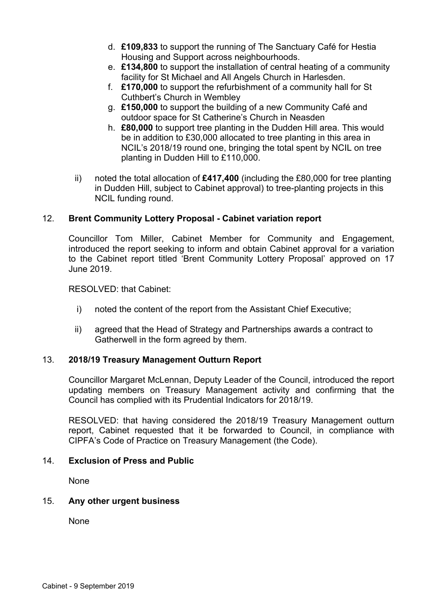- d. **£109,833** to support the running of The Sanctuary Café for Hestia Housing and Support across neighbourhoods.
- e. **£134,800** to support the installation of central heating of a community facility for St Michael and All Angels Church in Harlesden.
- f. **£170,000** to support the refurbishment of a community hall for St Cuthbert's Church in Wembley
- g. **£150,000** to support the building of a new Community Café and outdoor space for St Catherine's Church in Neasden
- h. **£80,000** to support tree planting in the Dudden Hill area. This would be in addition to £30,000 allocated to tree planting in this area in NCIL's 2018/19 round one, bringing the total spent by NCIL on tree planting in Dudden Hill to £110,000.
- ii) noted the total allocation of **£417,400** (including the £80,000 for tree planting in Dudden Hill, subject to Cabinet approval) to tree-planting projects in this NCIL funding round.

# 12. **Brent Community Lottery Proposal - Cabinet variation report**

Councillor Tom Miller, Cabinet Member for Community and Engagement, introduced the report seeking to inform and obtain Cabinet approval for a variation to the Cabinet report titled 'Brent Community Lottery Proposal' approved on 17 June 2019.

RESOLVED: that Cabinet:

- i) noted the content of the report from the Assistant Chief Executive;
- ii) agreed that the Head of Strategy and Partnerships awards a contract to Gatherwell in the form agreed by them.

### 13. **2018/19 Treasury Management Outturn Report**

Councillor Margaret McLennan, Deputy Leader of the Council, introduced the report updating members on Treasury Management activity and confirming that the Council has complied with its Prudential Indicators for 2018/19.

RESOLVED: that having considered the 2018/19 Treasury Management outturn report, Cabinet requested that it be forwarded to Council, in compliance with CIPFA's Code of Practice on Treasury Management (the Code).

### 14. **Exclusion of Press and Public**

None

### 15. **Any other urgent business**

None